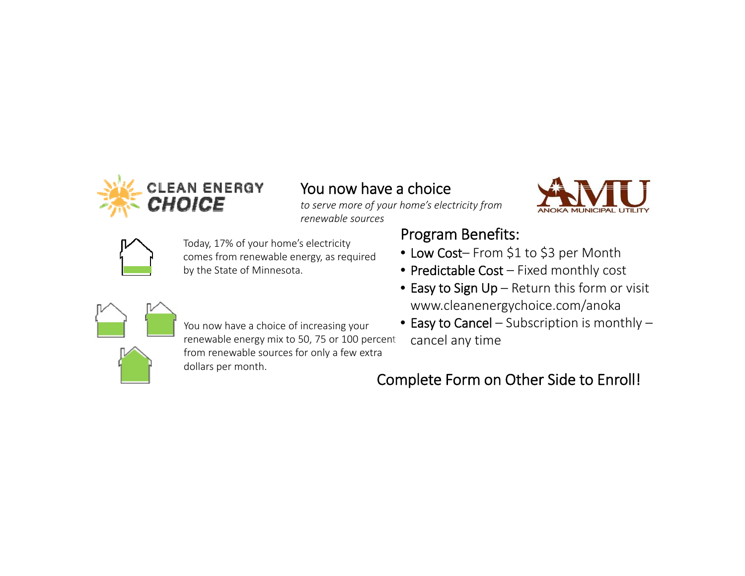

# You now have <sup>a</sup> choice

*to serve more of your home's electricity from renewable sources*



Today, 17% of your home's electricity comes from renewable energy, as required by the State of Minnesota.

## Program Benefits:

- Low Cost– From \$1 to \$3 per Month
- Predictable Cost Fixed monthly cost
- Easy to Sign Up Return this form or visit www.cleanenergychoice.com/anoka
- $\bullet\,$  Easy to Cancel Subscription is monthly cancel any time



You now have <sup>a</sup> choice of increasing your renewable energy mix to 50, 75 or 100 percent from renewable sources for only <sup>a</sup> few extra dollars per month.

## Complete Form on Other Side to Enroll!